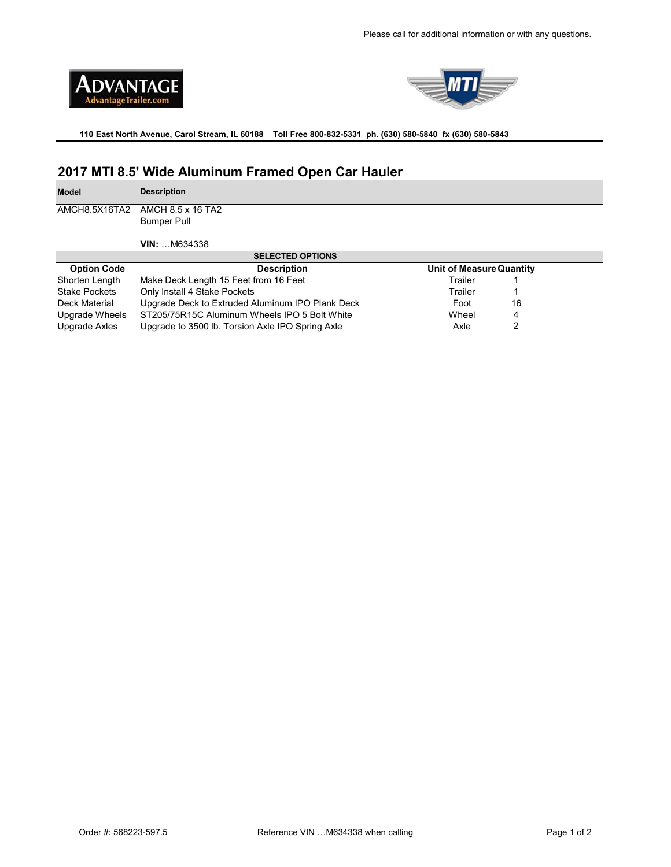



**110 East North Avenue, Carol Stream, IL 60188 Toll Free 800-832-5331 ph. (630) 580-5840 fx (630) 580-5843** 

## **2017 MTI 8.5' Wide Aluminum Framed Open Car Hauler**

**Model Description**

AMCH8.5X16TA2

Bumper Pull AMCH 8.5 x 16 TA2

**VIN:** …M634338

| <b>SELECTED OPTIONS</b> |                                                  |                          |  |
|-------------------------|--------------------------------------------------|--------------------------|--|
| <b>Option Code</b>      | <b>Description</b>                               | Unit of Measure Quantity |  |
| Shorten Length          | Make Deck Length 15 Feet from 16 Feet            | Trailer                  |  |
| <b>Stake Pockets</b>    | Only Install 4 Stake Pockets                     | Trailer                  |  |
| Deck Material           | Upgrade Deck to Extruded Aluminum IPO Plank Deck | 16<br>Foot               |  |
| Upgrade Wheels          | ST205/75R15C Aluminum Wheels IPO 5 Bolt White    | Wheel<br>4               |  |
| Upgrade Axles           | Upgrade to 3500 lb. Torsion Axle IPO Spring Axle | Axle                     |  |